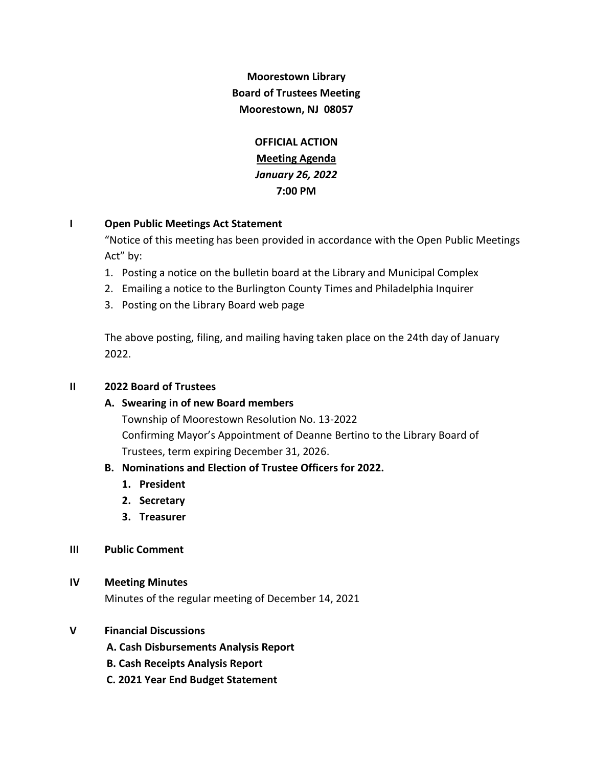# **Moorestown Library Board of Trustees Meeting Moorestown, NJ 08057**

**OFFICIAL ACTION Meeting Agenda** *January 26, 2022* **7:00 PM**

# **I Open Public Meetings Act Statement**

"Notice of this meeting has been provided in accordance with the Open Public Meetings Act" by:

- 1. Posting a notice on the bulletin board at the Library and Municipal Complex
- 2. Emailing a notice to the Burlington County Times and Philadelphia Inquirer
- 3. Posting on the Library Board web page

The above posting, filing, and mailing having taken place on the 24th day of January 2022.

# **II 2022 Board of Trustees**

# **A. Swearing in of new Board members**

Township of Moorestown Resolution No. 13-2022 Confirming Mayor's Appointment of Deanne Bertino to the Library Board of Trustees, term expiring December 31, 2026.

# **B. Nominations and Election of Trustee Officers for 2022.**

- **1. President**
- **2. Secretary**
- **3. Treasurer**

# **III Public Comment**

# **IV Meeting Minutes**

Minutes of the regular meeting of December 14, 2021

# **V Financial Discussions**

- **A. Cash Disbursements Analysis Report**
- **B. Cash Receipts Analysis Report**
- **C. 2021 Year End Budget Statement**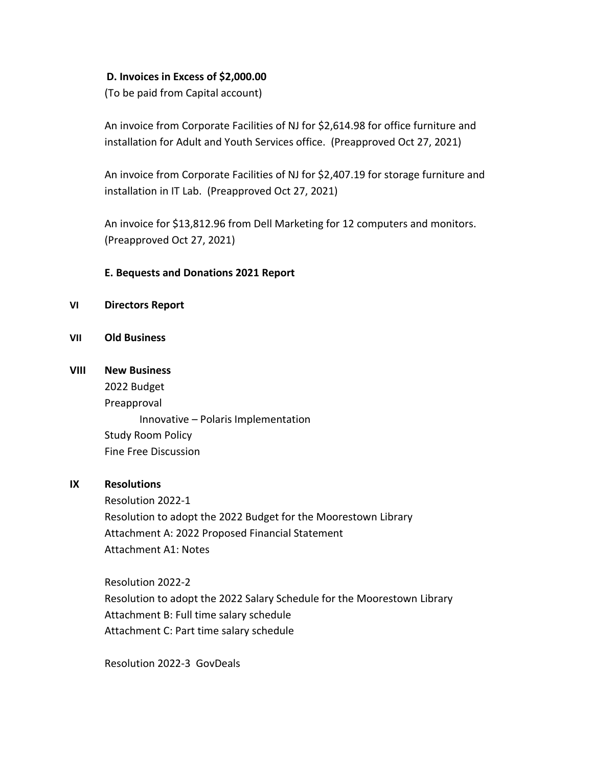#### **D. Invoices in Excess of \$2,000.00**

(To be paid from Capital account)

An invoice from Corporate Facilities of NJ for \$2,614.98 for office furniture and installation for Adult and Youth Services office. (Preapproved Oct 27, 2021)

An invoice from Corporate Facilities of NJ for \$2,407.19 for storage furniture and installation in IT Lab. (Preapproved Oct 27, 2021)

An invoice for \$13,812.96 from Dell Marketing for 12 computers and monitors. (Preapproved Oct 27, 2021)

#### **E. Bequests and Donations 2021 Report**

- **VI Directors Report**
- **VII Old Business**

#### **VIII New Business**

2022 Budget Preapproval Innovative – Polaris Implementation Study Room Policy Fine Free Discussion

# **IX Resolutions**

Resolution 2022-1 Resolution to adopt the 2022 Budget for the Moorestown Library Attachment A: 2022 Proposed Financial Statement Attachment A1: Notes

Resolution 2022-2 Resolution to adopt the 2022 Salary Schedule for the Moorestown Library Attachment B: Full time salary schedule Attachment C: Part time salary schedule

Resolution 2022-3 GovDeals